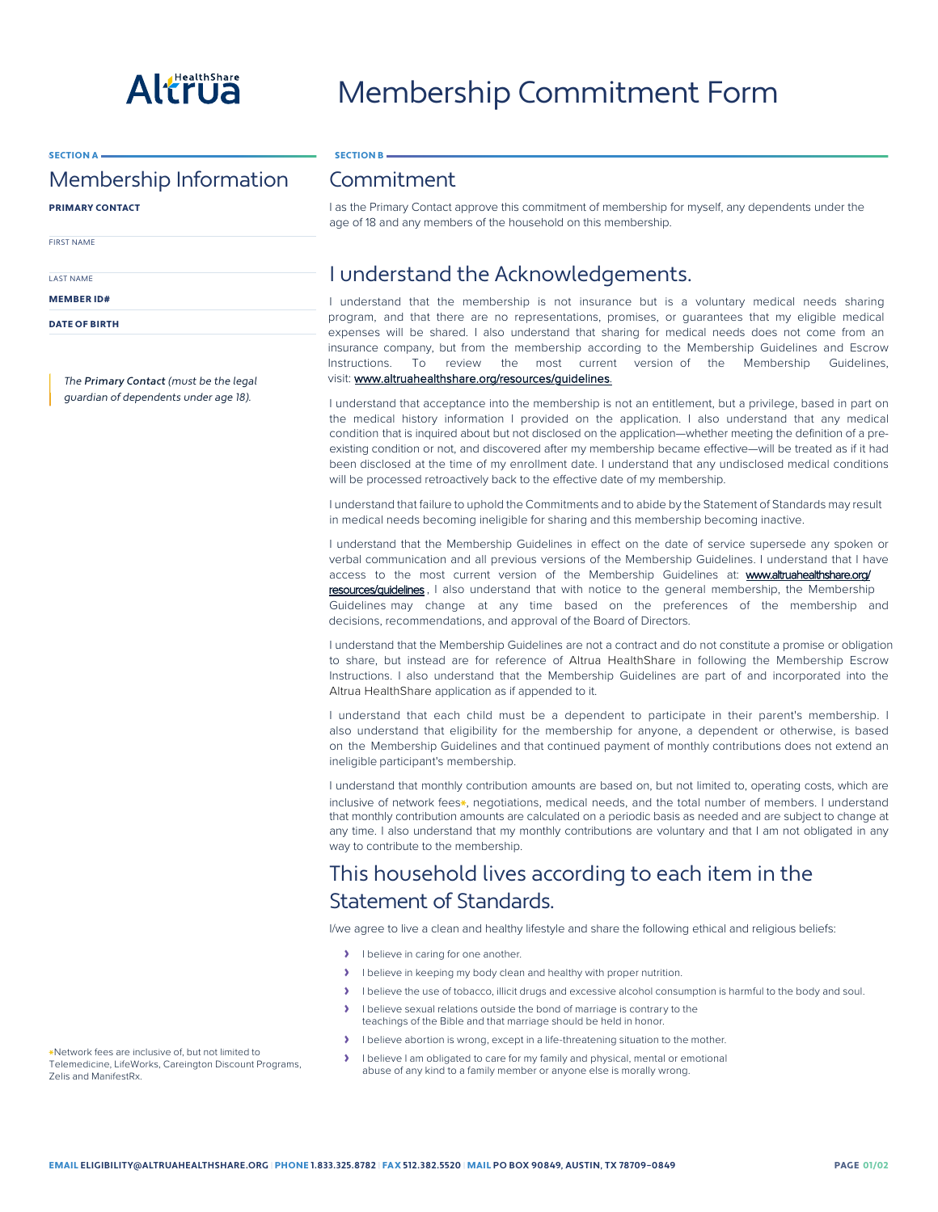

## SECTION A

## Membership Information

PRIMARY CONTACT

FIRST NAME

LAST NAME

MEMBER ID#

DATE OF BIRTH

The Primary Contact (must be the legal guardian of dependents under age 18).

## Commitment

SECTION B

I as the Primary Contact approve this commitment of membership for myself, any dependents under the age of 18 and any members of the household on this membership.

## I understand the Acknowledgements.

I understand that the membership is not insurance but is a voluntary medical needs sharing program, and that there are no representations, promises, or guarantees that my eligible medical expenses will be shared. I also understand that sharing for medical needs does not come from an insurance company, but from the membership according to the Membership Guidelines and Escrow Instructions. To review the most current version of the Membership Guidelines, visit: [www.altruahealthshare.org/resources/guidelines](https://www.altruahealthshare.org/resources/guidelines).

I understand that acceptance into the membership is not an entitlement, but a privilege, based in part on the medical history information I provided on the application. I also understand that any medical condition that is inquired about but not disclosed on the application—whether meeting the definition of a preexisting condition or not, and discovered after my membership became effective—will be treated as if it had been disclosed at the time of my enrollment date. I understand that any undisclosed medical conditions will be processed retroactively back to the effective date of my membership.

I understand that failure to uphold the Commitments and to abide by the Statement of Standards may result in medical needs becoming ineligible for sharing and this membership becoming inactive.

I understand that the Membership Guidelines in effect on the date of service supersede any spoken or verbal communication and all previous versions of the Membership Guidelines. I understand that I have access to the most current version of the Membership Guidelines at: www.altruahealthshare.org/ resources/guidelines , I also understand that with notice to the general membership, the Membership

Guidelines may change at any time based on the preferences of the membership and decisions, recommendations, and approval of the Board of Directors.

I understand that the Membership Guidelines are not a contract and do not constitute a promise or obligation to share, but instead are for reference of Altrua HealthShare in following the Membership Escrow Instructions. I also understand that the Membership Guidelines are part of and incorporated into the Altrua HealthShare application as if appended to it.

I understand that each child must be a dependent to participate in their parent's membership. I also understand that eligibility for the membership for anyone, a dependent or otherwise, is based on the Membership Guidelines and that continued payment of monthly contributions does not extend an ineligible participant's membership.

I understand that monthly contribution amounts are based on, but not limited to, operating costs, which are inclusive of network fees\*, negotiations, medical needs, and the total number of members. I understand that monthly contribution amounts are calculated on a periodic basis as needed and are subject to change at any time. I also understand that my monthly contributions are voluntary and that I am not obligated in any way to contribute to the membership.

## This household lives according to each item in the Statement of Standards.

I/we agree to live a clean and healthy lifestyle and share the following ethical and religious beliefs:

- › I believe in caring for one another.
- › I believe in keeping my body clean and healthy with proper nutrition.
- › I believe the use of tobacco, illicit drugs and excessive alcohol consumption is harmful to the body and soul.
- › I believe sexual relations outside the bond of marriage is contrary to the teachings of the Bible and that marriage should be held in honor.
- › I believe abortion is wrong, except in a life-threatening situation to the mother.
- › I believe I am obligated to care for my family and physical, mental or emotional abuse of any kind to a family member or anyone else is morally wrong.

\*Network fees are inclusive of, but not limited to Telemedicine, LifeWorks, Careington Discount Programs, Zelis and ManifestRx.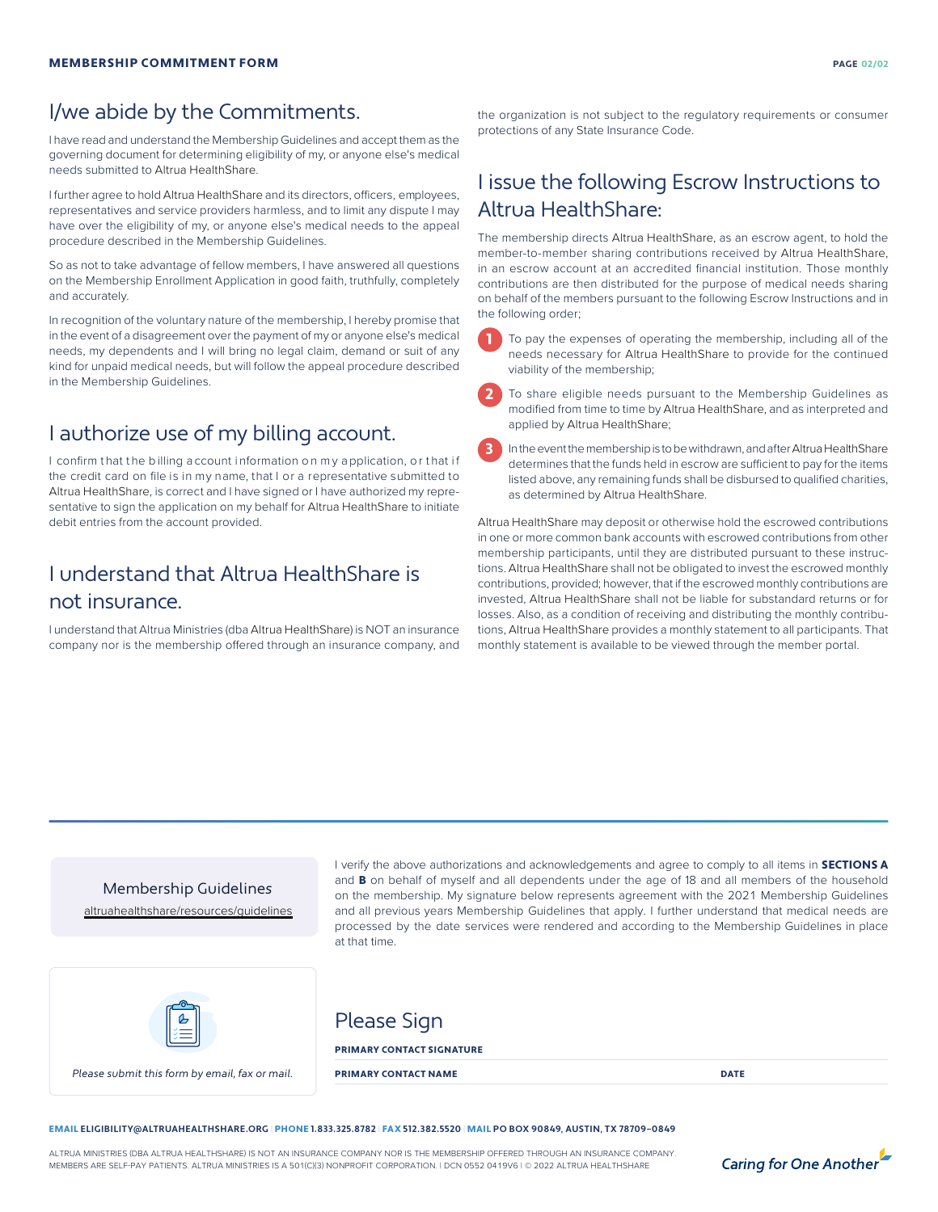# I/we abide by the Commitments.

I have read and understand the Membership Guidelines and accept them as the governing document for determining eligibility of my, or anyone else's medical needs submitted to Altrua HealthShare.

I further agree to hold Altrua HealthShare and its directors, officers, employees, representatives and service providers harmless, and to limit any dispute I may have over the eligibility of my, or anyone else's medical needs to the appeal procedure described in the Membership Guidelines.

So as not to take advantage of fellow members, I have answered all questions on the Membership Enrollment Application in good faith, truthfully, completely and accurately.

In recognition of the voluntary nature of the membership, I hereby promise that in the event of a disagreement over the payment of my or anyone else's medical needs, my dependents and I will bring no legal claim, demand or suit of any kind for unpaid medical needs, but will follow the appeal procedure described in the Membership Guidelines.

## I authorize use of my billing account.

I confirm that the billing a ccount information on my a pplication, or that if the credit card on file is in my name, that I or a representative submitted to Altrua HealthShare, is correct and I have signed or I have authorized my representative to sign the application on my behalf for Altrua HealthShare to initiate debit entries from the account provided.

# I understand that Altrua HealthShare is not insurance.

I understand that Altrua Ministries (dba Altrua HealthShare) is NOT an insurance company nor is the membership offered through an insurance company, and

the organization is not subject to the regulatory requirements or consumer protections of any State Insurance Code.

# I issue the following Escrow Instructions to Altrua HealthShare:

The membership directs Altrua HealthShare, as an escrow agent, to hold the member-to-member sharing contributions received by Altrua HealthShare, in an escrow account at an accredited financial institution. Those monthly contributions are then distributed for the purpose of medical needs sharing on behalf of the members pursuant to the following Escrow Instructions and in the following order;

1

2

To pay the expenses of operating the membership, including all of the needs necessary for Altrua HealthShare to provide for the continued viability of the membership;

To share eligible needs pursuant to the Membership Guidelines as modified from time to time by Altrua HealthShare, and as interpreted and applied by Altrua HealthShare;

In the event the membership is to be withdrawn, and after Altrua HealthShare determines that the funds held in escrow are sufficient to pay for the items listed above, any remaining funds shall be disbursed to qualified charities, as determined by Altrua HealthShare. 3

Altrua HealthShare may deposit or otherwise hold the escrowed contributions in one or more common bank accounts with escrowed contributions from other membership participants, until they are distributed pursuant to these instructions. Altrua HealthShare shall not be obligated to invest the escrowed monthly contributions, provided; however, that if the escrowed monthly contributions are invested, Altrua HealthShare shall not be liable for substandard returns or for losses. Also, as a condition of receiving and distributing the monthly contributions, Altrua HealthShare provides a monthly statement to all participants. That monthly statement is available to be viewed through the member portal.

Membership Guidelines [altruahealthshare/resources/guidelines](https://www.altruahealthshare.org/resources/guidelines) I verify the above authorizations and acknowledgements and agree to comply to all items in **SECTIONS A** and **B** on behalf of myself and all dependents under the age of 18 and all members of the household on the membership. My signature below represents agreement with the 2021 Membership Guidelines and all previous years Membership Guidelines that apply. I further understand that medical needs are processed by the date services were rendered and according to the Membership Guidelines in place at that time.



Please Sign

### PRIMARY CONTACT SIGNATURE

Please submit this form by email, fax or mail. **PRIMARY CONTACT NAME DATE PRIMARY CONTACT NAME** 

### EMAIL **ELIGIBILITY@ALTRUAHEALTHSHARE.ORG |** PHONE **1.833.325.8782 |** FAX **512.382.5520 |** MAIL **PO BOX 90849, AUSTIN, TX 78709–0849**

ALTRUA MINISTRIES (DBA ALTRUA HEALTHSHARE) IS NOT AN INSURANCE COMPANY NOR IS THE MEMBERSHIP OFFERED THROUGH AN INSURANCE COMPANY. MEMBERS ARE SELF-PAY PATIENTS. ALTRUA MINISTRIES IS A 501(C)(3) NONPROFIT CORPORATION. | DCN 0552 0419V6 | © 2022 ALTRUA HEALTHSHARE